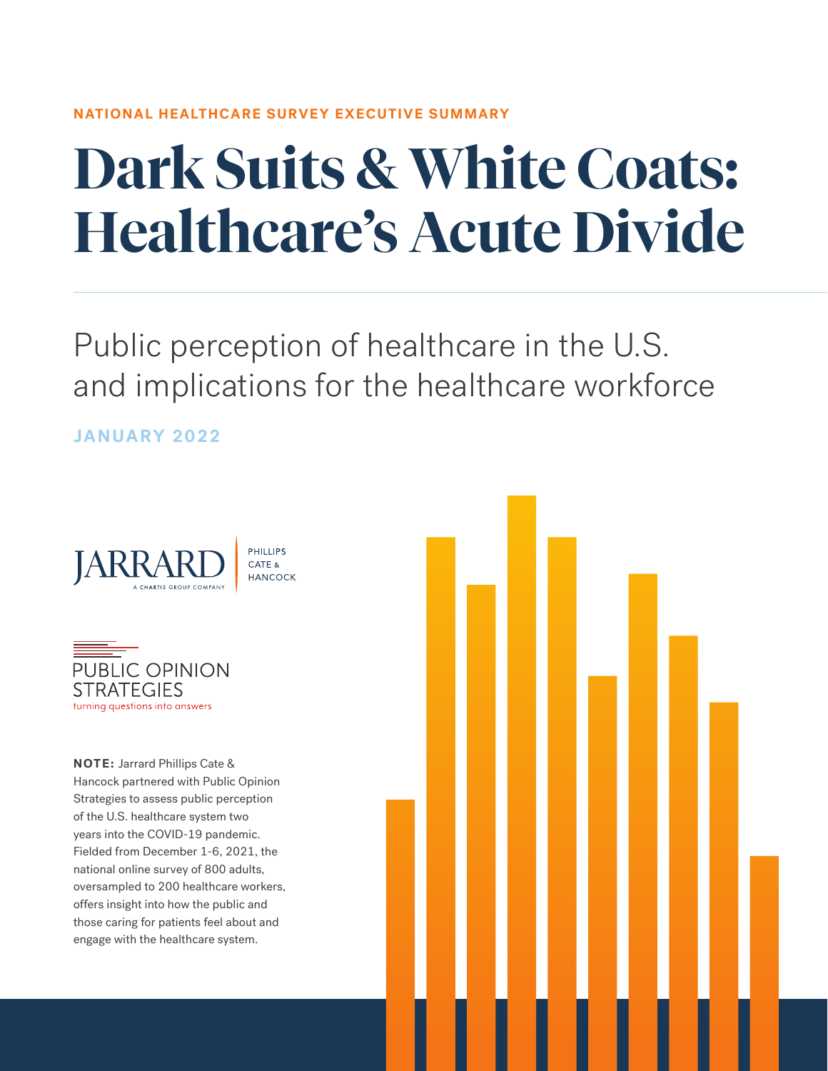#### **NATIONAL HEALTHCARE SURVEY EXECUTIVE SUMMARY**

# **Dark Suits & White Coats: Healthcare's Acute Divide**

Public perception of healthcare in the U.S. and implications for the healthcare workforce

**JANUARY 2022**





**NOTE:** Jarrard Phillips Cate & Hancock partnered with Public Opinion Strategies to assess public perception of the U.S. healthcare system two years into the COVID-19 pandemic. Fielded from December 1-6, 2021, the national online survey of 800 adults, oversampled to 200 healthcare workers, offers insight into how the public and those caring for patients feel about and engage with the healthcare system.

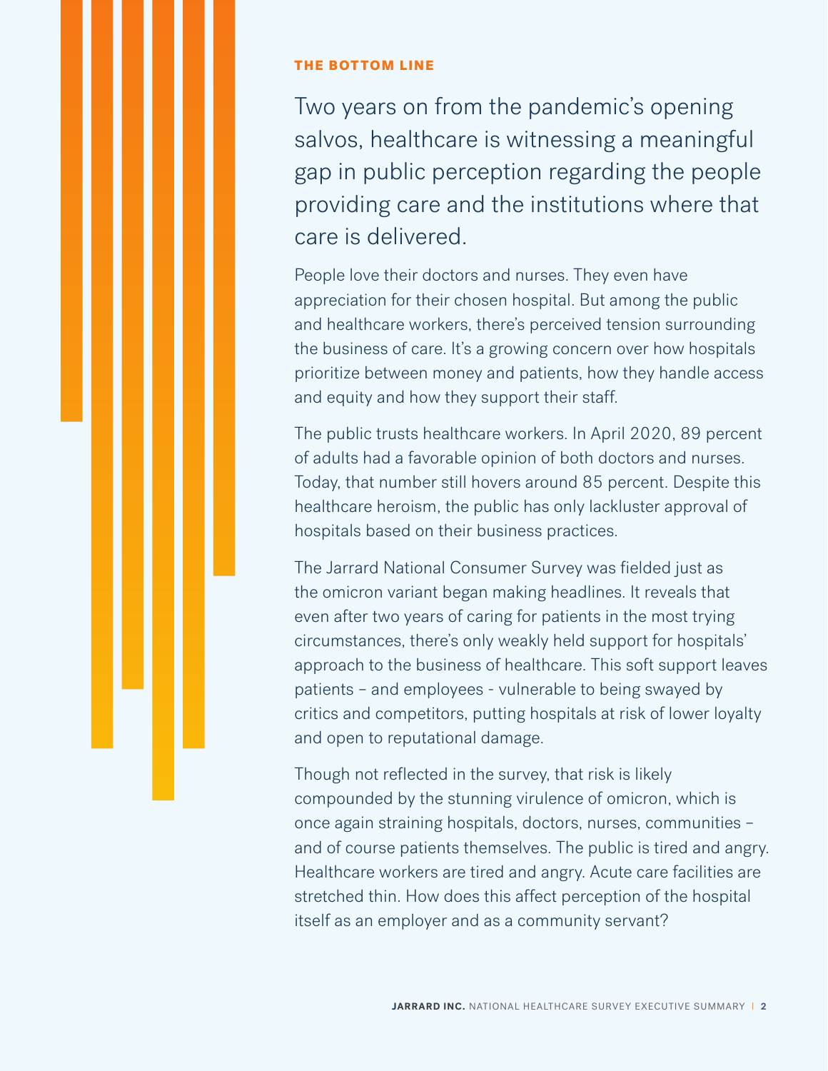#### THE BOTTOM LINE

Two years on from the pandemic's opening salvos, healthcare is witnessing a meaningful gap in public perception regarding the people providing care and the institutions where that care is delivered.

People love their doctors and nurses. They even have appreciation for their chosen hospital. But among the public and healthcare workers, there's perceived tension surrounding the business of care. It's a growing concern over how hospitals prioritize between money and patients, how they handle access and equity and how they support their staff.

The public trusts healthcare workers. In April 2020, 89 percent of adults had a favorable opinion of both doctors and nurses. Today, that number still hovers around 85 percent. Despite this healthcare heroism, the public has only lackluster approval of hospitals based on their business practices.

The Jarrard National Consumer Survey was fielded just as the omicron variant began making headlines. It reveals that even after two years of caring for patients in the most trying circumstances, there's only weakly held support for hospitals' approach to the business of healthcare. This soft support leaves patients – and employees - vulnerable to being swayed by critics and competitors, putting hospitals at risk of lower loyalty and open to reputational damage.

Though not reflected in the survey, that risk is likely compounded by the stunning virulence of omicron, which is once again straining hospitals, doctors, nurses, communities – and of course patients themselves. The public is tired and angry. Healthcare workers are tired and angry. Acute care facilities are stretched thin. How does this affect perception of the hospital itself as an employer and as a community servant?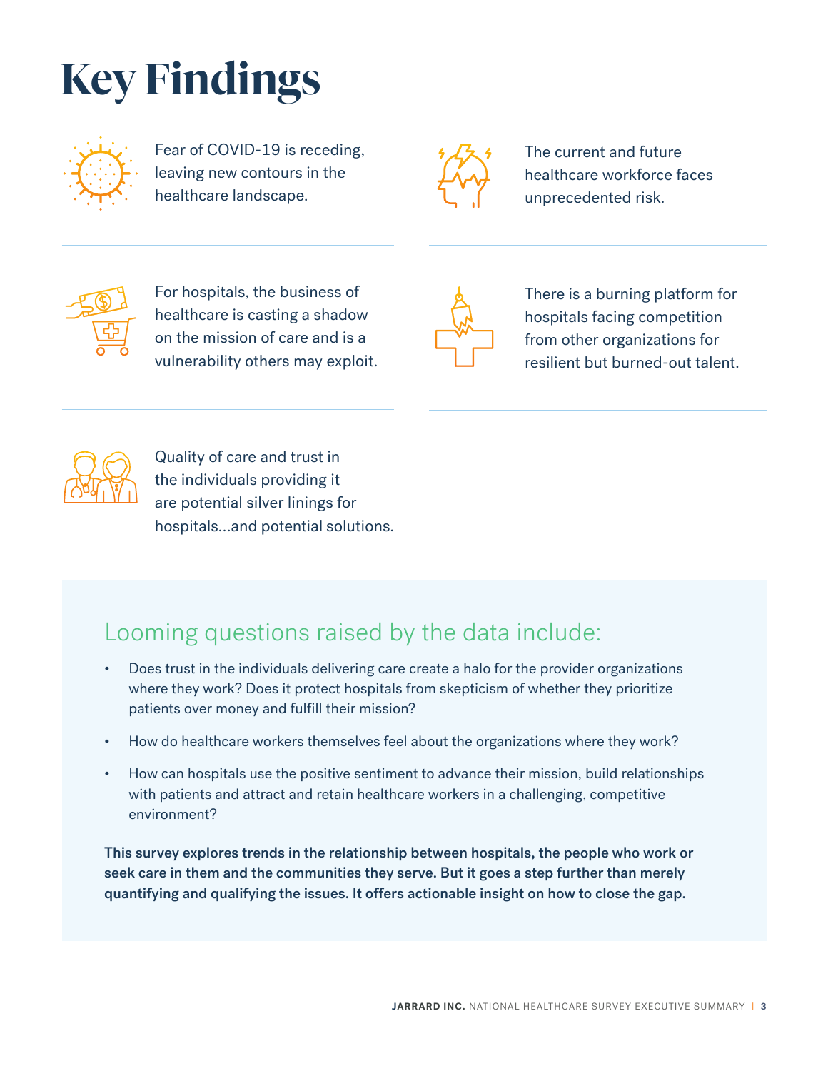## **Key Findings**



Fear of COVID-19 is receding, leaving new contours in the healthcare landscape.



The current and future healthcare workforce faces unprecedented risk.



For hospitals, the business of healthcare is casting a shadow on the mission of care and is a vulnerability others may exploit.



There is a burning platform for hospitals facing competition from other organizations for resilient but burned-out talent.



Quality of care and trust in the individuals providing it are potential silver linings for hospitals…and potential solutions.

### Looming questions raised by the data include:

- Does trust in the individuals delivering care create a halo for the provider organizations where they work? Does it protect hospitals from skepticism of whether they prioritize patients over money and fulfill their mission?
- How do healthcare workers themselves feel about the organizations where they work?
- How can hospitals use the positive sentiment to advance their mission, build relationships with patients and attract and retain healthcare workers in a challenging, competitive environment?

This survey explores trends in the relationship between hospitals, the people who work or seek care in them and the communities they serve. But it goes a step further than merely quantifying and qualifying the issues. It offers actionable insight on how to close the gap.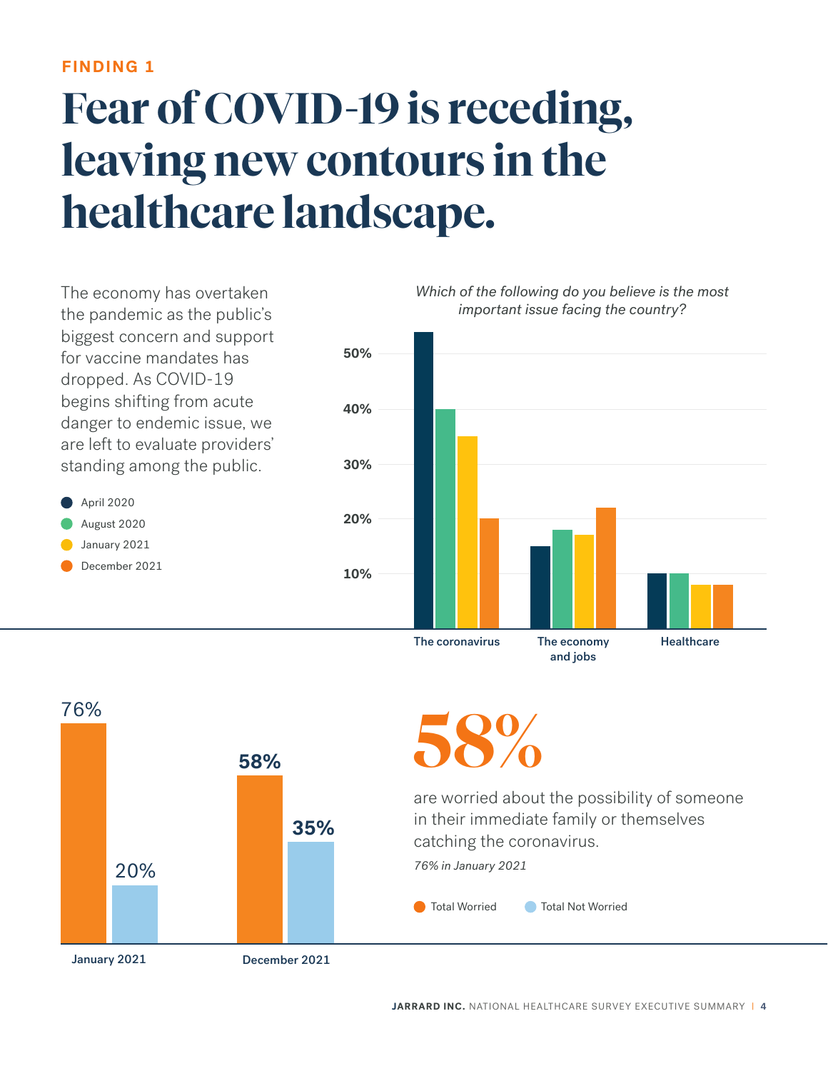### **Fear of COVID-19 is receding, leaving new contours in the healthcare landscape.**



The coronavirus The economy

● Total Worried ● Total Not Worried are worried about the possibility of someone in their immediate family or themselves catching the coronavirus. *76% in January 2021* **58% 35%**  20% **58%**  76% January 2021 December 2021

and jobs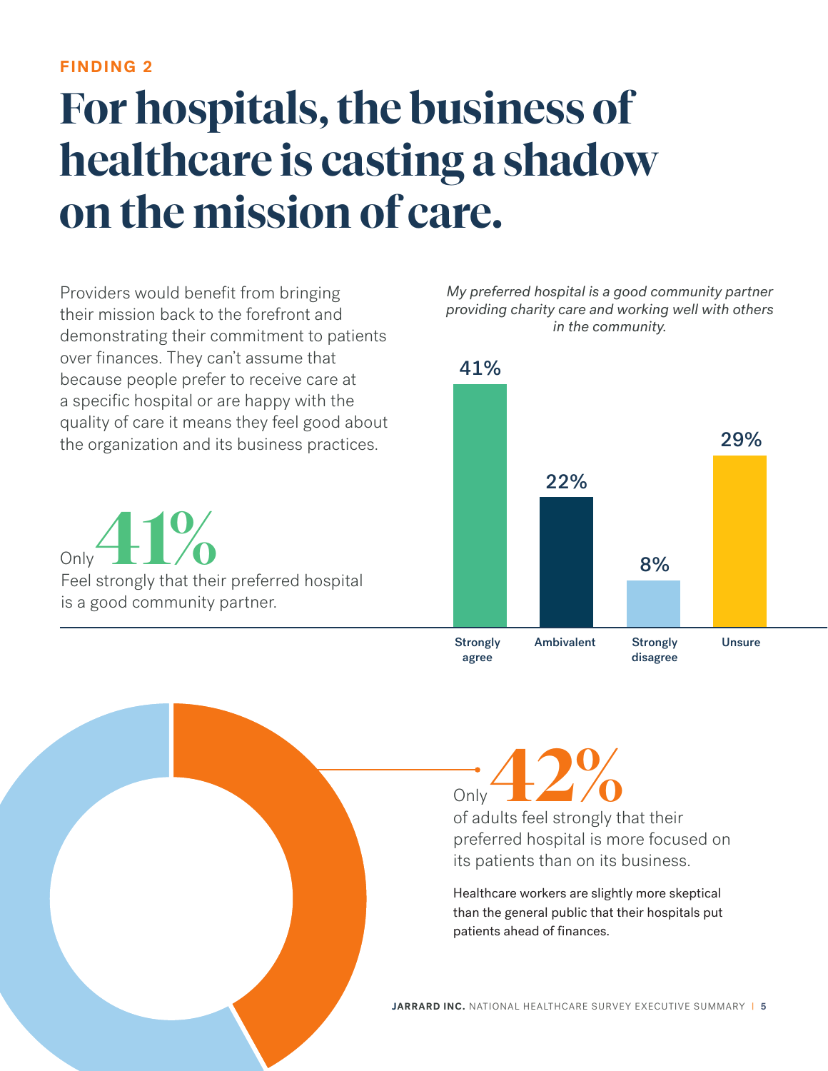### **For hospitals, the business of healthcare is casting a shadow on the mission of care.**

Providers would benefit from bringing their mission back to the forefront and demonstrating their commitment to patients over finances. They can't assume that because people prefer to receive care at a specific hospital or are happy with the quality of care it means they feel good about the organization and its business practices.

Only<br>Feel strongly that their preferred hospital is a good community partner. Only

*My preferred hospital is a good community partner providing charity care and working well with others in the community.*



of adults feel strongly that their preferred hospital is more focused on its patients than on its business. **42%** Only

Healthcare workers are slightly more skeptical than the general public that their hospitals put patients ahead of finances.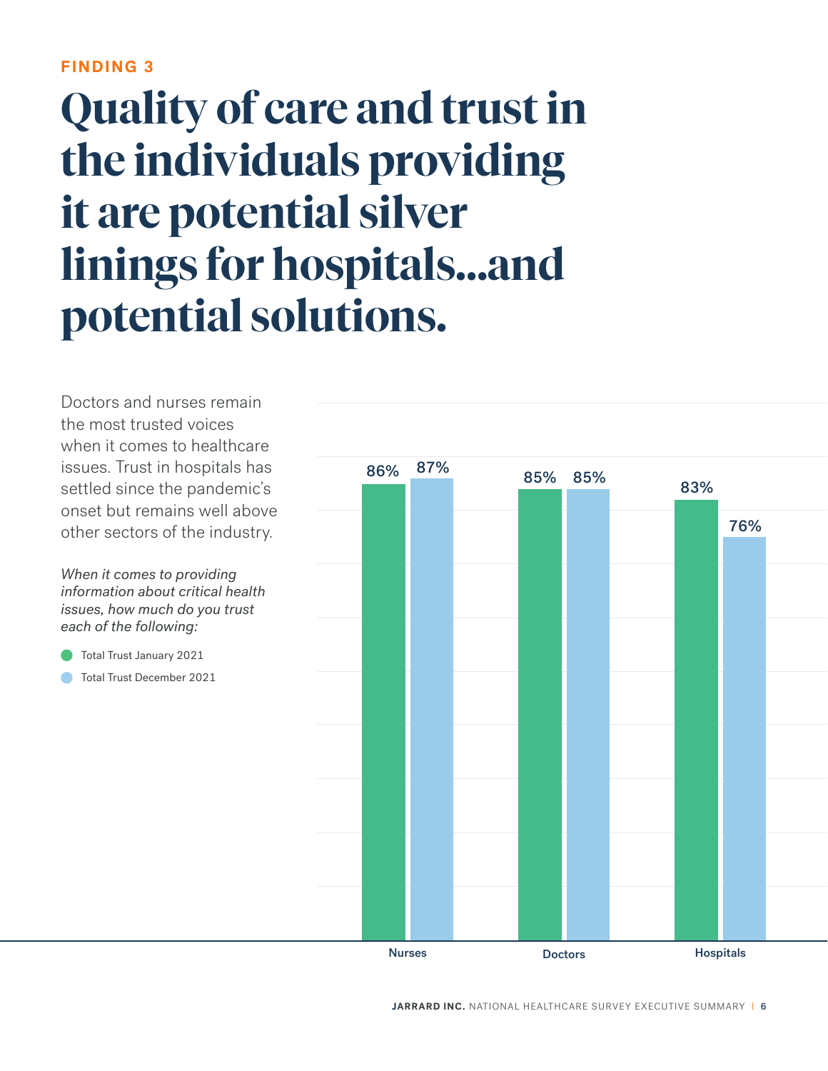### **Quality of care and trust in the individuals providing it are potential silver linings for hospitals…and potential solutions.**

Doctors and nurses remain the most trusted voices when it comes to healthcare issues. Trust in hospitals has settled since the pandemic's onset but remains well above other sectors of the industry.

*When it comes to providing information about critical health issues, how much do you trust each of the following:*

- Total Trust January 2021
- Total Trust December 2021

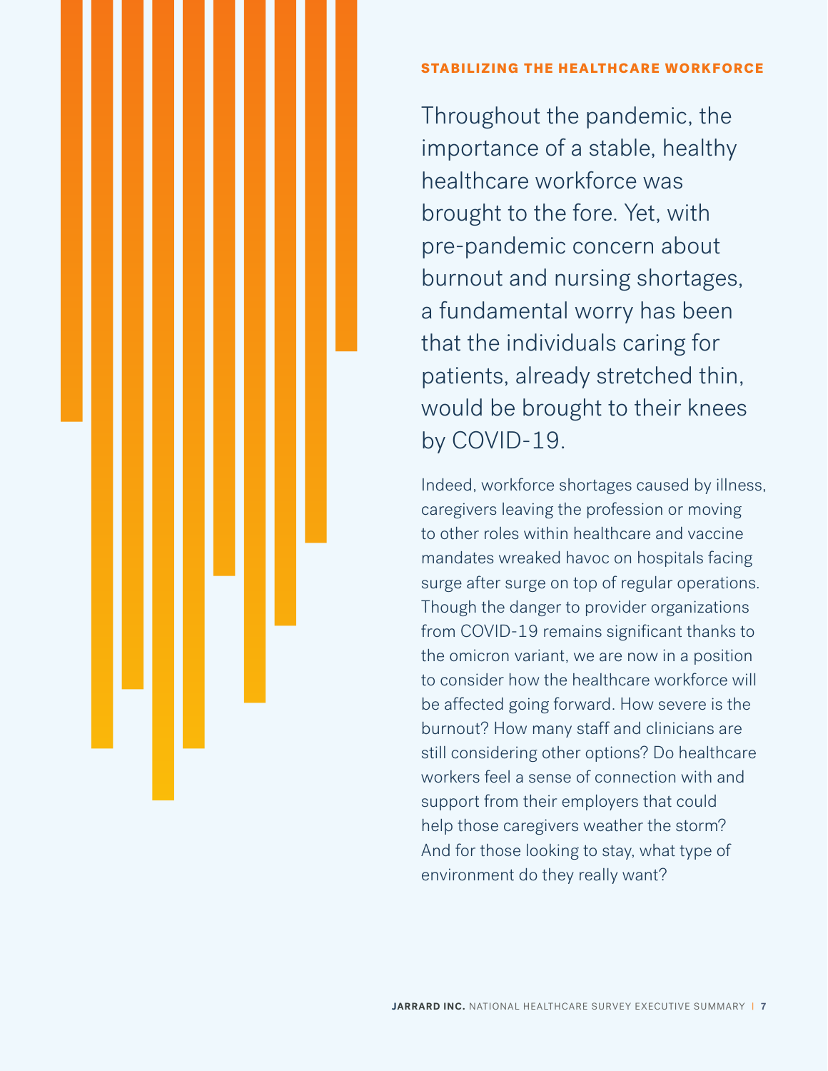#### STABILIZING THE HEALTHCARE WORKFORCE

Throughout the pandemic, the importance of a stable, healthy healthcare workforce was brought to the fore. Yet, with pre-pandemic concern about burnout and nursing shortages, a fundamental worry has been that the individuals caring for patients, already stretched thin, would be brought to their knees by COVID-19.

Indeed, workforce shortages caused by illness, caregivers leaving the profession or moving to other roles within healthcare and vaccine mandates wreaked havoc on hospitals facing surge after surge on top of regular operations. Though the danger to provider organizations from COVID-19 remains significant thanks to the omicron variant, we are now in a position to consider how the healthcare workforce will be affected going forward. How severe is the burnout? How many staff and clinicians are still considering other options? Do healthcare workers feel a sense of connection with and support from their employers that could help those caregivers weather the storm? And for those looking to stay, what type of environment do they really want?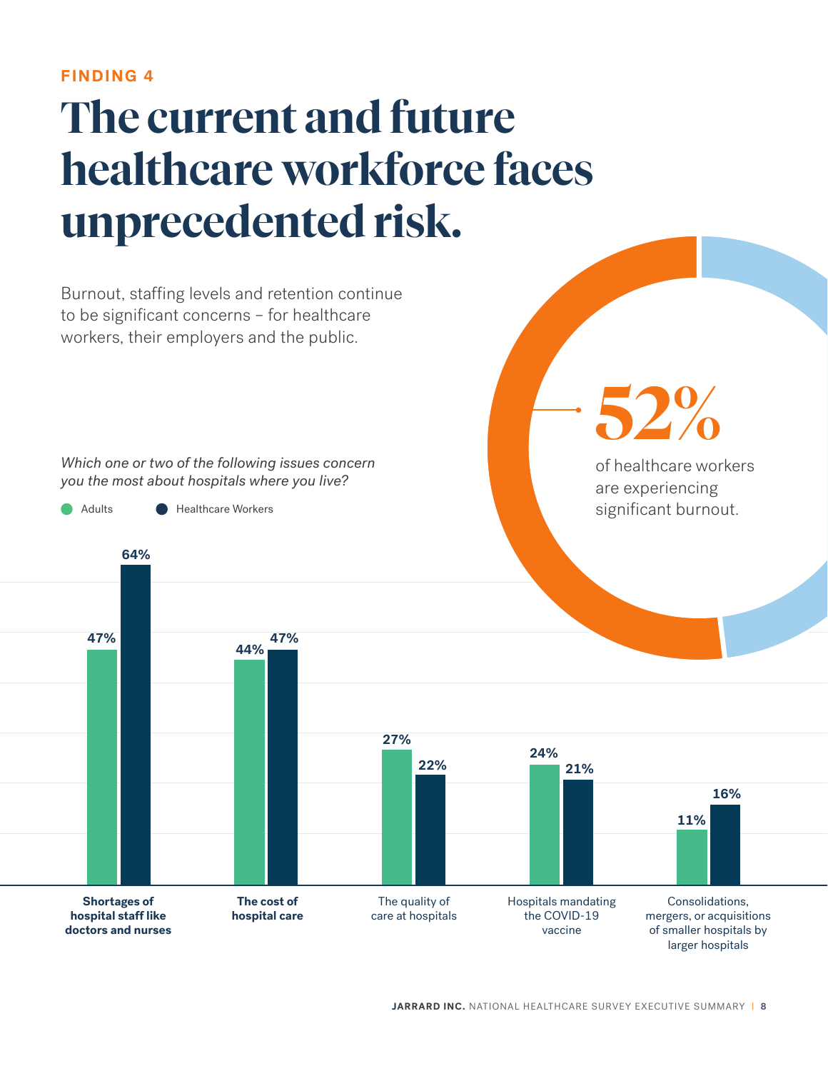### **The current and future healthcare workforce faces unprecedented risk.**

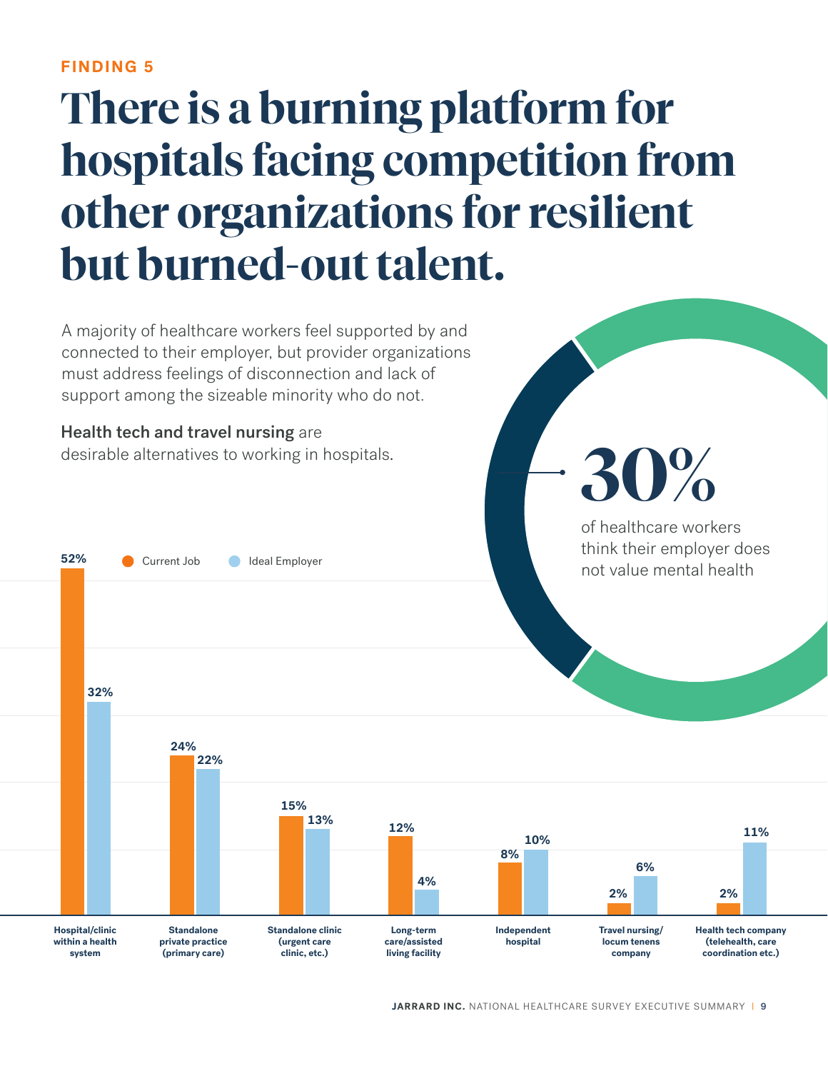### **There is a burning platform for hospitals facing competition from other organizations for resilient but burned-out talent.**

A majority of healthcare workers feel supported by and connected to their employer, but provider organizations must address feelings of disconnection and lack of support among the sizeable minority who do not.

Health tech and travel nursing are desirable alternatives to working in hospitals.

**52%** Current Job Ideal Employer

**30%**

of healthcare workers think their employer does not value mental health